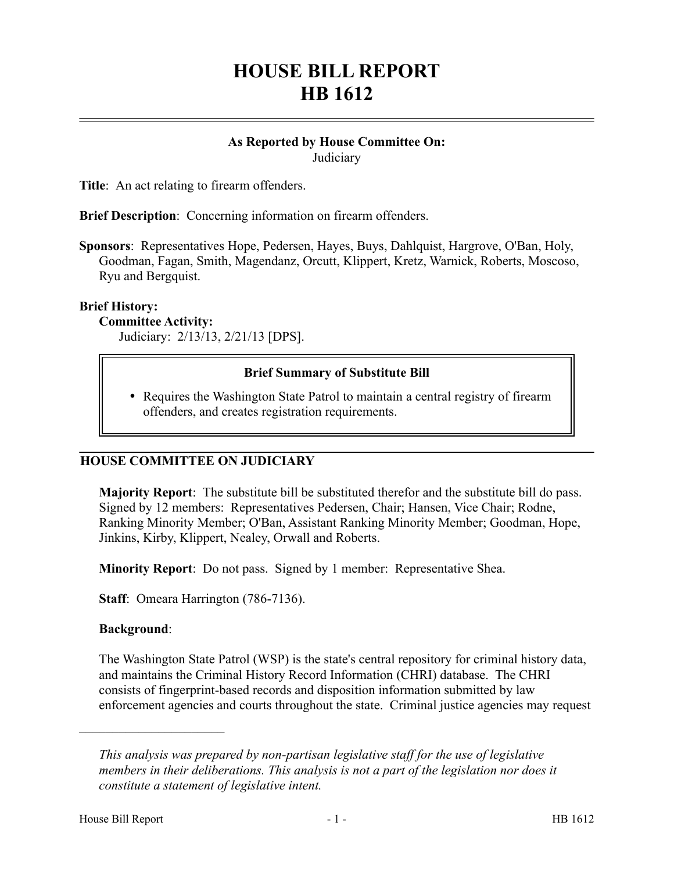# **HOUSE BILL REPORT HB 1612**

#### **As Reported by House Committee On: Judiciary**

**Title**: An act relating to firearm offenders.

**Brief Description**: Concerning information on firearm offenders.

**Sponsors**: Representatives Hope, Pedersen, Hayes, Buys, Dahlquist, Hargrove, O'Ban, Holy, Goodman, Fagan, Smith, Magendanz, Orcutt, Klippert, Kretz, Warnick, Roberts, Moscoso, Ryu and Bergquist.

#### **Brief History:**

#### **Committee Activity:**

Judiciary: 2/13/13, 2/21/13 [DPS].

### **Brief Summary of Substitute Bill**

• Requires the Washington State Patrol to maintain a central registry of firearm offenders, and creates registration requirements.

## **HOUSE COMMITTEE ON JUDICIARY**

**Majority Report**: The substitute bill be substituted therefor and the substitute bill do pass. Signed by 12 members: Representatives Pedersen, Chair; Hansen, Vice Chair; Rodne, Ranking Minority Member; O'Ban, Assistant Ranking Minority Member; Goodman, Hope, Jinkins, Kirby, Klippert, Nealey, Orwall and Roberts.

**Minority Report**: Do not pass. Signed by 1 member: Representative Shea.

**Staff**: Omeara Harrington (786-7136).

#### **Background**:

––––––––––––––––––––––

The Washington State Patrol (WSP) is the state's central repository for criminal history data, and maintains the Criminal History Record Information (CHRI) database. The CHRI consists of fingerprint-based records and disposition information submitted by law enforcement agencies and courts throughout the state. Criminal justice agencies may request

*This analysis was prepared by non-partisan legislative staff for the use of legislative members in their deliberations. This analysis is not a part of the legislation nor does it constitute a statement of legislative intent.*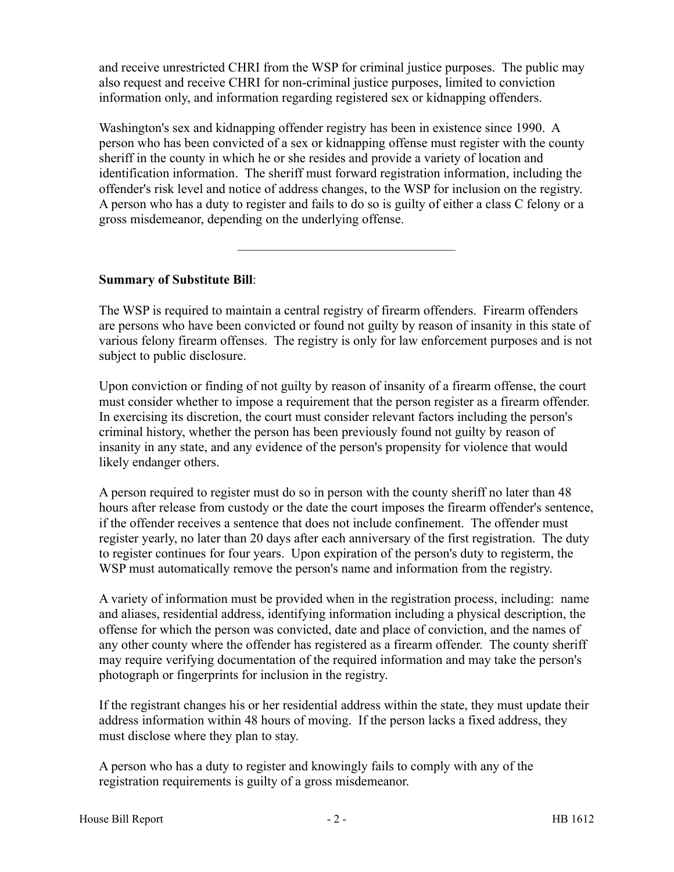and receive unrestricted CHRI from the WSP for criminal justice purposes. The public may also request and receive CHRI for non-criminal justice purposes, limited to conviction information only, and information regarding registered sex or kidnapping offenders.

Washington's sex and kidnapping offender registry has been in existence since 1990. A person who has been convicted of a sex or kidnapping offense must register with the county sheriff in the county in which he or she resides and provide a variety of location and identification information. The sheriff must forward registration information, including the offender's risk level and notice of address changes, to the WSP for inclusion on the registry. A person who has a duty to register and fails to do so is guilty of either a class C felony or a gross misdemeanor, depending on the underlying offense.

## **Summary of Substitute Bill**:

The WSP is required to maintain a central registry of firearm offenders. Firearm offenders are persons who have been convicted or found not guilty by reason of insanity in this state of various felony firearm offenses. The registry is only for law enforcement purposes and is not subject to public disclosure.

–––––––––––––––––––––––––––––––––

Upon conviction or finding of not guilty by reason of insanity of a firearm offense, the court must consider whether to impose a requirement that the person register as a firearm offender. In exercising its discretion, the court must consider relevant factors including the person's criminal history, whether the person has been previously found not guilty by reason of insanity in any state, and any evidence of the person's propensity for violence that would likely endanger others.

A person required to register must do so in person with the county sheriff no later than 48 hours after release from custody or the date the court imposes the firearm offender's sentence, if the offender receives a sentence that does not include confinement. The offender must register yearly, no later than 20 days after each anniversary of the first registration. The duty to register continues for four years. Upon expiration of the person's duty to registerm, the WSP must automatically remove the person's name and information from the registry.

A variety of information must be provided when in the registration process, including: name and aliases, residential address, identifying information including a physical description, the offense for which the person was convicted, date and place of conviction, and the names of any other county where the offender has registered as a firearm offender. The county sheriff may require verifying documentation of the required information and may take the person's photograph or fingerprints for inclusion in the registry.

If the registrant changes his or her residential address within the state, they must update their address information within 48 hours of moving. If the person lacks a fixed address, they must disclose where they plan to stay.

A person who has a duty to register and knowingly fails to comply with any of the registration requirements is guilty of a gross misdemeanor.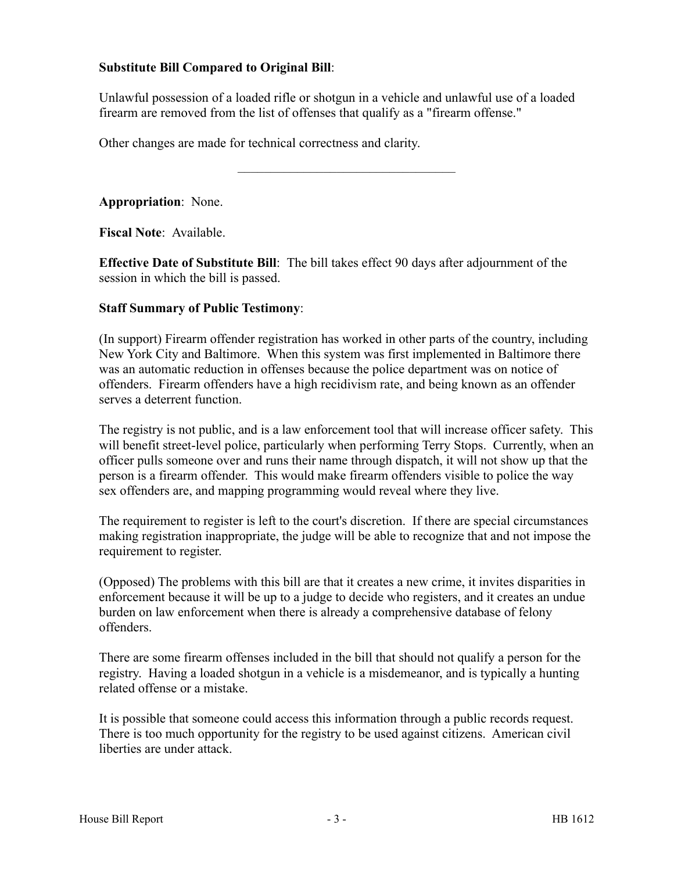## **Substitute Bill Compared to Original Bill**:

Unlawful possession of a loaded rifle or shotgun in a vehicle and unlawful use of a loaded firearm are removed from the list of offenses that qualify as a "firearm offense."

–––––––––––––––––––––––––––––––––

Other changes are made for technical correctness and clarity.

**Appropriation**: None.

**Fiscal Note**: Available.

**Effective Date of Substitute Bill**: The bill takes effect 90 days after adjournment of the session in which the bill is passed.

## **Staff Summary of Public Testimony**:

(In support) Firearm offender registration has worked in other parts of the country, including New York City and Baltimore. When this system was first implemented in Baltimore there was an automatic reduction in offenses because the police department was on notice of offenders. Firearm offenders have a high recidivism rate, and being known as an offender serves a deterrent function.

The registry is not public, and is a law enforcement tool that will increase officer safety. This will benefit street-level police, particularly when performing Terry Stops. Currently, when an officer pulls someone over and runs their name through dispatch, it will not show up that the person is a firearm offender. This would make firearm offenders visible to police the way sex offenders are, and mapping programming would reveal where they live.

The requirement to register is left to the court's discretion. If there are special circumstances making registration inappropriate, the judge will be able to recognize that and not impose the requirement to register.

(Opposed) The problems with this bill are that it creates a new crime, it invites disparities in enforcement because it will be up to a judge to decide who registers, and it creates an undue burden on law enforcement when there is already a comprehensive database of felony offenders.

There are some firearm offenses included in the bill that should not qualify a person for the registry. Having a loaded shotgun in a vehicle is a misdemeanor, and is typically a hunting related offense or a mistake.

It is possible that someone could access this information through a public records request. There is too much opportunity for the registry to be used against citizens. American civil liberties are under attack.